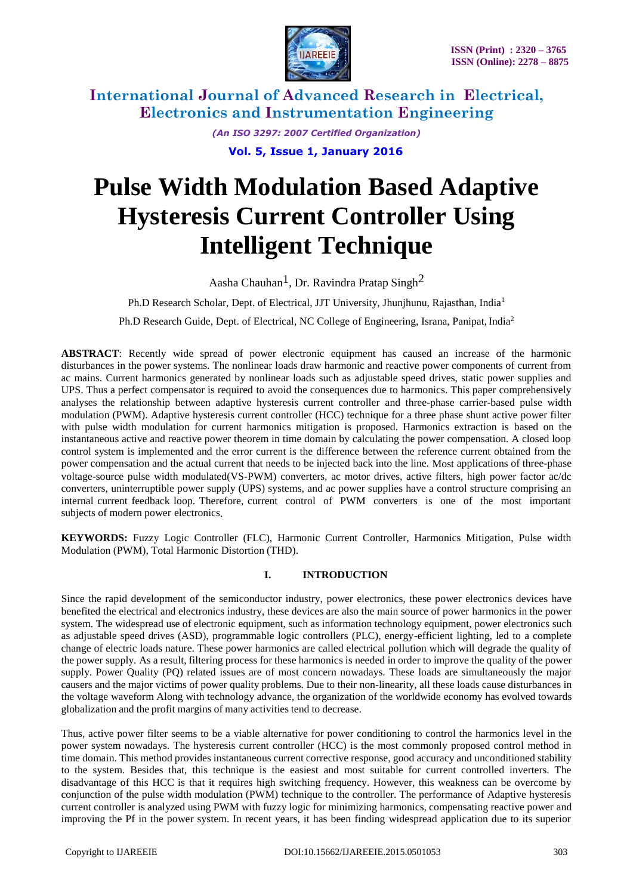

> *(An ISO 3297: 2007 Certified Organization)*  **Vol. 5, Issue 1, January 2016**

# **Pulse Width Modulation Based Adaptive Hysteresis Current Controller Using Intelligent Technique**

Aasha Chauhan<sup>1</sup>, Dr. Ravindra Pratap Singh<sup>2</sup>

Ph.D Research Scholar, Dept. of Electrical, JJT University, Jhunjhunu, Rajasthan, India<sup>1</sup>

Ph.D Research Guide, Dept. of Electrical, NC College of Engineering, Israna, Panipat, India<sup>2</sup>

**ABSTRACT**: Recently wide spread of power electronic equipment has caused an increase of the harmonic disturbances in the power systems. The nonlinear loads draw harmonic and reactive power components of current from ac mains. Current harmonics generated by nonlinear loads such as adjustable speed drives, static power supplies and UPS. Thus a perfect compensator is required to avoid the consequences due to harmonics. This paper comprehensively analyses the relationship between adaptive hysteresis current controller and three-phase carrier-based pulse width modulation (PWM). Adaptive hysteresis current controller (HCC) technique for a three phase shunt active power filter with pulse width modulation for current harmonics mitigation is proposed. Harmonics extraction is based on the instantaneous active and reactive power theorem in time domain by calculating the power compensation. A closed loop control system is implemented and the error current is the difference between the reference current obtained from the power compensation and the actual current that needs to be injected back into the line. Most applications of three-phase voltage-source pulse width modulated(VS-PWM) converters, ac motor drives, active filters, high power factor ac/dc converters, uninterruptible power supply (UPS) systems, and ac power supplies have a control structure comprising an internal current feedback loop. Therefore, current control of PWM converters is one of the most important subjects of modern power electronics.

**KEYWORDS:** Fuzzy Logic Controller (FLC), Harmonic Current Controller, Harmonics Mitigation, Pulse width Modulation (PWM), Total Harmonic Distortion (THD).

#### **I. INTRODUCTION**

Since the rapid development of the semiconductor industry, power electronics, these power electronics devices have benefited the electrical and electronics industry, these devices are also the main source of power harmonics in the power system. The widespread use of electronic equipment, such as information technology equipment, power electronics such as adjustable speed drives (ASD), programmable logic controllers (PLC), energy-efficient lighting, led to a complete change of electric loads nature. These power harmonics are called electrical pollution which will degrade the quality of the power supply. As a result, filtering process for these harmonics is needed in order to improve the quality of the power supply. Power Quality (PQ) related issues are of most concern nowadays. These loads are simultaneously the major causers and the major victims of power quality problems. Due to their non-linearity, all these loads cause disturbances in the voltage waveform Along with technology advance, the organization of the worldwide economy has evolved towards globalization and the profit margins of many activities tend to decrease.

Thus, active power filter seems to be a viable alternative for power conditioning to control the harmonics level in the power system nowadays. The hysteresis current controller (HCC) is the most commonly proposed control method in time domain. This method provides instantaneous current corrective response, good accuracy and unconditioned stability to the system. Besides that, this technique is the easiest and most suitable for current controlled inverters. The disadvantage of this HCC is that it requires high switching frequency. However, this weakness can be overcome by conjunction of the pulse width modulation (PWM) technique to the controller. The performance of Adaptive hysteresis current controller is analyzed using PWM with fuzzy logic for minimizing harmonics, compensating reactive power and improving the Pf in the power system. In recent years, it has been finding widespread application due to its superior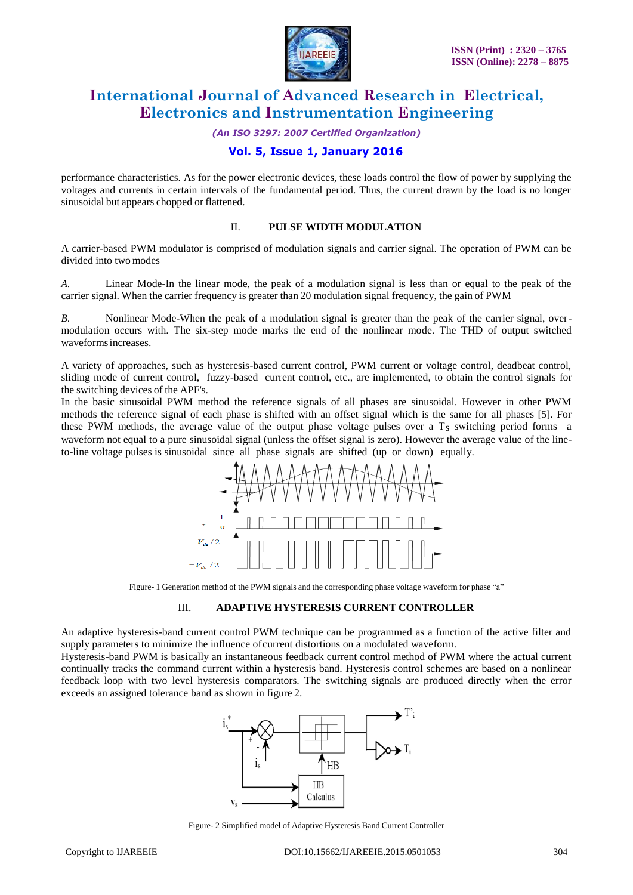

*(An ISO 3297: 2007 Certified Organization)*

#### **Vol. 5, Issue 1, January 2016**

performance characteristics. As for the power electronic devices, these loads control the flow of power by supplying the voltages and currents in certain intervals of the fundamental period. Thus, the current drawn by the load is no longer sinusoidal but appears chopped or flattened.

#### II. **PULSE WIDTH MODULATION**

A carrier-based PWM modulator is comprised of modulation signals and carrier signal. The operation of PWM can be divided into two modes

*A.* Linear Mode-In the linear mode, the peak of a modulation signal is less than or equal to the peak of the carrier signal. When the carrier frequency is greater than 20 modulation signal frequency, the gain of PWM

*B.* Nonlinear Mode-When the peak of a modulation signal is greater than the peak of the carrier signal, overmodulation occurs with. The six-step mode marks the end of the nonlinear mode. The THD of output switched waveformsincreases.

A variety of approaches, such as hysteresis-based current control, PWM current or voltage control, deadbeat control, sliding mode of current control, fuzzy-based current control, etc., are implemented, to obtain the control signals for the switching devices of the APF's.

In the basic sinusoidal PWM method the reference signals of all phases are sinusoidal. However in other PWM methods the reference signal of each phase is shifted with an offset signal which is the same for all phases [5]. For these PWM methods, the average value of the output phase voltage pulses over a T<sub>S</sub> switching period forms a waveform not equal to a pure sinusoidal signal (unless the offset signal is zero). However the average value of the lineto-line voltage pulses is sinusoidal since all phase signals are shifted (up or down) equally.



Figure- 1 Generation method of the PWM signals and the corresponding phase voltage waveform for phase "a"

#### III. **ADAPTIVE HYSTERESIS CURRENT CONTROLLER**

An adaptive hysteresis-band current control PWM technique can be programmed as a function of the active filter and supply parameters to minimize the influence ofcurrent distortions on a modulated waveform.

Hysteresis-band PWM is basically an instantaneous feedback current control method of PWM where the actual current continually tracks the command current within a hysteresis band. Hysteresis control schemes are based on a nonlinear feedback loop with two level hysteresis comparators. The switching signals are produced directly when the error exceeds an assigned tolerance band as shown in figure 2.



Figure- 2 Simplified model of Adaptive Hysteresis Band Current Controller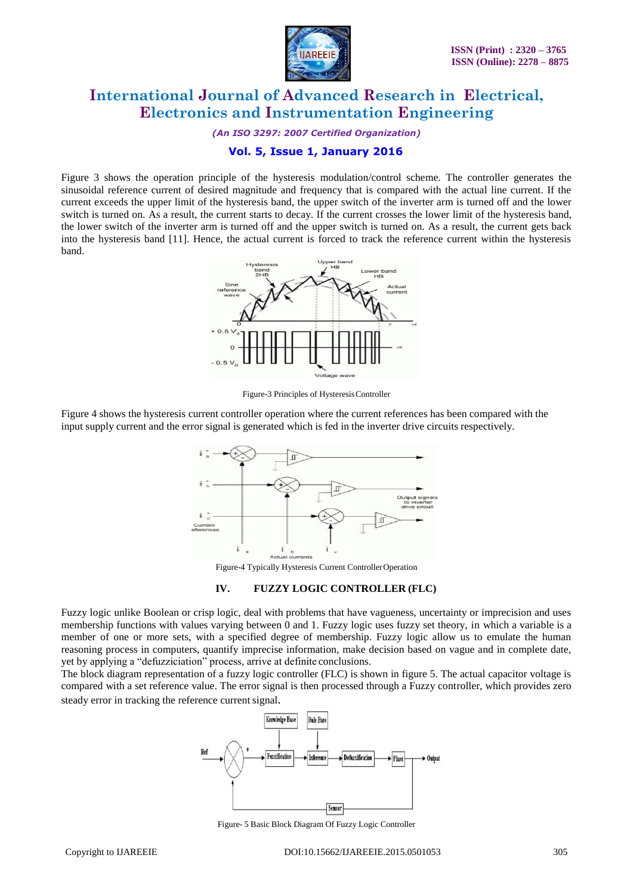

*(An ISO 3297: 2007 Certified Organization)*

#### **Vol. 5, Issue 1, January 2016**

Figure 3 shows the operation principle of the hysteresis modulation/control scheme. The controller generates the sinusoidal reference current of desired magnitude and frequency that is compared with the actual line current. If the current exceeds the upper limit of the hysteresis band, the upper switch of the inverter arm is turned off and the lower switch is turned on. As a result, the current starts to decay. If the current crosses the lower limit of the hysteresis band, the lower switch of the inverter arm is turned off and the upper switch is turned on. As a result, the current gets back into the hysteresis band [11]. Hence, the actual current is forced to track the reference current within the hysteresis band.



Figure-3 Principles of HysteresisController

Figure 4 shows the hysteresis current controller operation where the current references has been compared with the input supply current and the error signal is generated which is fed in the inverter drive circuits respectively.



Figure-4 Typically Hysteresis Current ControllerOperation

#### **IV. FUZZY LOGIC CONTROLLER (FLC)**

Fuzzy logic unlike Boolean or crisp logic, deal with problems that have vagueness, uncertainty or imprecision and uses membership functions with values varying between 0 and 1. Fuzzy logic uses fuzzy set theory, in which a variable is a member of one or more sets, with a specified degree of membership. Fuzzy logic allow us to emulate the human reasoning process in computers, quantify imprecise information, make decision based on vague and in complete date, yet by applying a "defuzziciation" process, arrive at definite conclusions.

The block diagram representation of a fuzzy logic controller (FLC) is shown in figure 5. The actual capacitor voltage is compared with a set reference value. The error signal is then processed through a Fuzzy controller, which provides zero steady error in tracking the reference current signal.



Figure- 5 Basic Block Diagram Of Fuzzy Logic Controller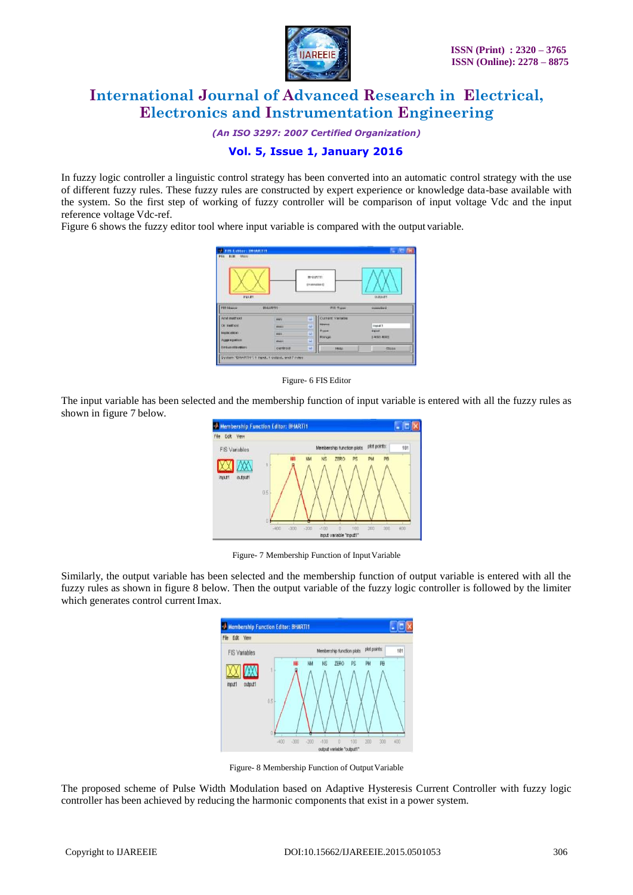

*(An ISO 3297: 2007 Certified Organization)*

#### **Vol. 5, Issue 1, January 2016**

In fuzzy logic controller a linguistic control strategy has been converted into an automatic control strategy with the use of different fuzzy rules. These fuzzy rules are constructed by expert experience or knowledge data-base available with the system. So the first step of working of fuzzy controller will be comparison of input voltage Vdc and the input reference voltage Vdc-ref.

Figure 6 shows the fuzzy editor tool where input variable is compared with the output variable.





The input variable has been selected and the membership function of input variable is entered with all the fuzzy rules as shown in figure 7 below.



Figure- 7 Membership Function of Input Variable

Similarly, the output variable has been selected and the membership function of output variable is entered with all the fuzzy rules as shown in figure 8 below. Then the output variable of the fuzzy logic controller is followed by the limiter which generates control current Imax.



Figure- 8 Membership Function of Output Variable

The proposed scheme of Pulse Width Modulation based on Adaptive Hysteresis Current Controller with fuzzy logic controller has been achieved by reducing the harmonic components that exist in a power system.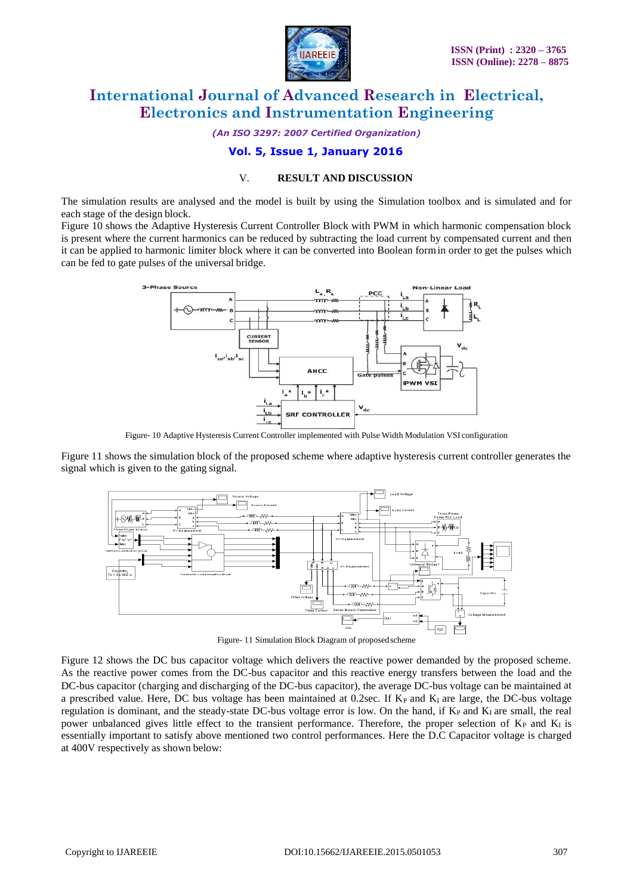

*(An ISO 3297: 2007 Certified Organization)*

### **Vol. 5, Issue 1, January 2016**

#### V. **RESULT AND DISCUSSION**

The simulation results are analysed and the model is built by using the Simulation toolbox and is simulated and for each stage of the design block.

Figure 10 shows the Adaptive Hysteresis Current Controller Block with PWM in which harmonic compensation block is present where the current harmonics can be reduced by subtracting the load current by compensated current and then it can be applied to harmonic limiter block where it can be converted into Boolean formin order to get the pulses which can be fed to gate pulses of the universal bridge.



Figure- 10 Adaptive Hysteresis Current Controller implemented with Pulse Width Modulation VSI configuration

Figure 11 shows the simulation block of the proposed scheme where adaptive hysteresis current controller generates the signal which is given to the gating signal.



Figure- 11 Simulation Block Diagram of proposedscheme

Figure 12 shows the DC bus capacitor voltage which delivers the reactive power demanded by the proposed scheme. As the reactive power comes from the DC-bus capacitor and this reactive energy transfers between the load and the DC-bus capacitor (charging and discharging of the DC-bus capacitor), the average DC-bus voltage can be maintained at a prescribed value. Here, DC bus voltage has been maintained at 0.2sec. If  $K_P$  and  $K_I$  are large, the DC-bus voltage regulation is dominant, and the steady-state DC-bus voltage error is low. On the hand, if  $K_P$  and  $K_I$  are small, the real power unbalanced gives little effect to the transient performance. Therefore, the proper selection of  $K_P$  and  $K_I$  is essentially important to satisfy above mentioned two control performances. Here the D.C Capacitor voltage is charged at 400V respectively as shown below: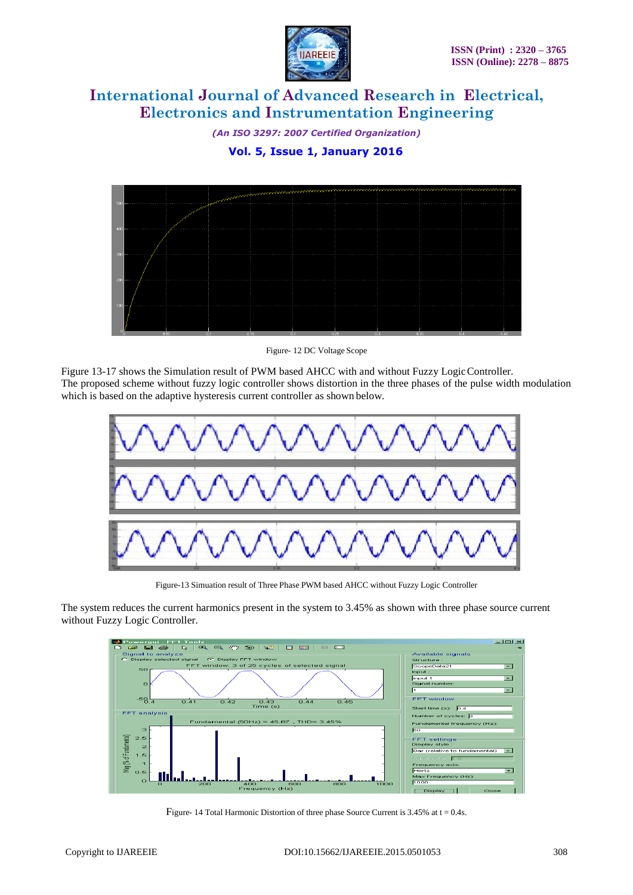

*(An ISO 3297: 2007 Certified Organization)*  **Vol. 5, Issue 1, January 2016**



Figure- 12 DC Voltage Scope

Figure 13-17 shows the Simulation result of PWM based AHCC with and without Fuzzy Logic Controller. The proposed scheme without fuzzy logic controller shows distortion in the three phases of the pulse width modulation which is based on the adaptive hysteresis current controller as shown below.



Figure-13 Simuation result of Three Phase PWM based AHCC without Fuzzy Logic Controller

The system reduces the current harmonics present in the system to 3.45% as shown with three phase source current without Fuzzy Logic Controller.



Figure- 14 Total Harmonic Distortion of three phase Source Current is 3.45% at t = 0.4s.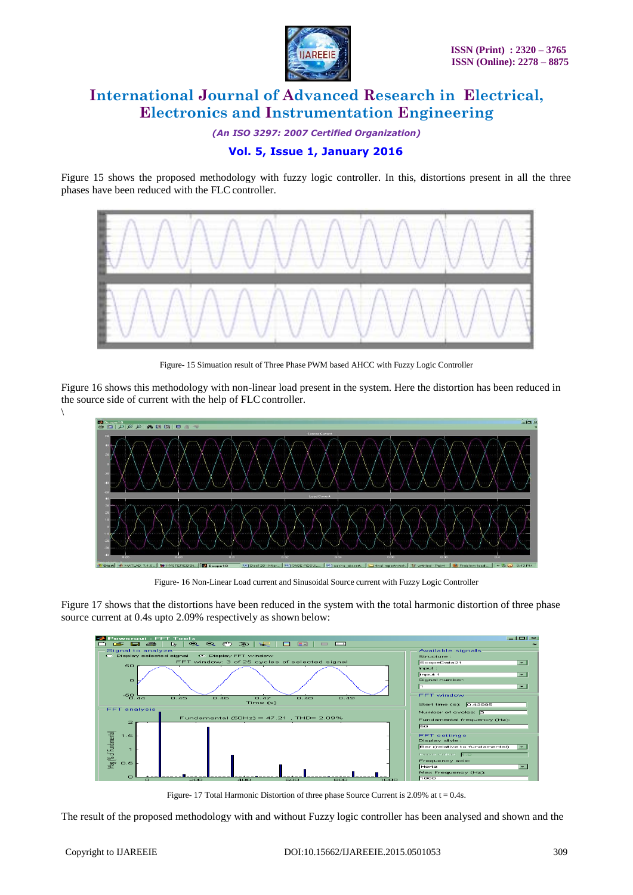

*(An ISO 3297: 2007 Certified Organization)*  **Vol. 5, Issue 1, January 2016**

Figure 15 shows the proposed methodology with fuzzy logic controller. In this, distortions present in all the three phases have been reduced with the FLC controller.



Figure- 15 Simuation result of Three Phase PWM based AHCC with Fuzzy Logic Controller

Figure 16 shows this methodology with non-linear load present in the system. Here the distortion has been reduced in the source side of current with the help of FLC controller.



Figure- 16 Non-Linear Load current and Sinusoidal Source current with Fuzzy Logic Controller

Figure 17 shows that the distortions have been reduced in the system with the total harmonic distortion of three phase source current at 0.4s upto 2.09% respectively as shown below:



Figure- 17 Total Harmonic Distortion of three phase Source Current is 2.09% at  $t = 0.4s$ .

The result of the proposed methodology with and without Fuzzy logic controller has been analysed and shown and the

 $\setminus$